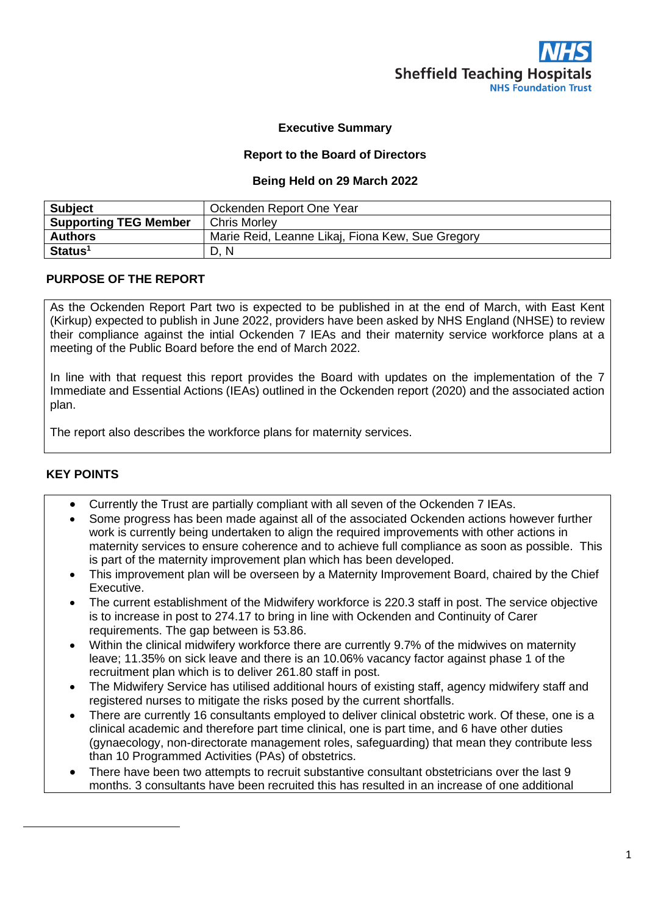## **Executive Summary**

## **Report to the Board of Directors**

#### **Being Held on 29 March 2022**

| <b>Subject</b>               | Ockenden Report One Year                         |
|------------------------------|--------------------------------------------------|
| <b>Supporting TEG Member</b> | <b>Chris Morley</b>                              |
| <b>Authors</b>               | Marie Reid, Leanne Likaj, Fiona Kew, Sue Gregory |
| Status <sup>1</sup>          | <sup>N</sup><br>D.                               |

## **PURPOSE OF THE REPORT**

As the Ockenden Report Part two is expected to be published in at the end of March, with East Kent (Kirkup) expected to publish in June 2022, providers have been asked by NHS England (NHSE) to review their compliance against the intial Ockenden 7 IEAs and their maternity service workforce plans at a meeting of the Public Board before the end of March 2022.

In line with that request this report provides the Board with updates on the implementation of the 7 Immediate and Essential Actions (IEAs) outlined in the Ockenden report (2020) and the associated action plan.

The report also describes the workforce plans for maternity services.

# **KEY POINTS**

- Currently the Trust are partially compliant with all seven of the Ockenden 7 IEAs.
- Some progress has been made against all of the associated Ockenden actions however further work is currently being undertaken to align the required improvements with other actions in maternity services to ensure coherence and to achieve full compliance as soon as possible. This is part of the maternity improvement plan which has been developed.
- This improvement plan will be overseen by a Maternity Improvement Board, chaired by the Chief Executive.
- The current establishment of the Midwifery workforce is 220.3 staff in post. The service objective is to increase in post to 274.17 to bring in line with Ockenden and Continuity of Carer requirements. The gap between is 53.86.
- Within the clinical midwifery workforce there are currently 9.7% of the midwives on maternity leave; 11.35% on sick leave and there is an 10.06% vacancy factor against phase 1 of the recruitment plan which is to deliver 261.80 staff in post.
- The Midwifery Service has utilised additional hours of existing staff, agency midwifery staff and registered nurses to mitigate the risks posed by the current shortfalls.
- There are currently 16 consultants employed to deliver clinical obstetric work. Of these, one is a clinical academic and therefore part time clinical, one is part time, and 6 have other duties (gynaecology, non-directorate management roles, safeguarding) that mean they contribute less than 10 Programmed Activities (PAs) of obstetrics.
- There have been two attempts to recruit substantive consultant obstetricians over the last 9 months. 3 consultants have been recruited this has resulted in an increase of one additional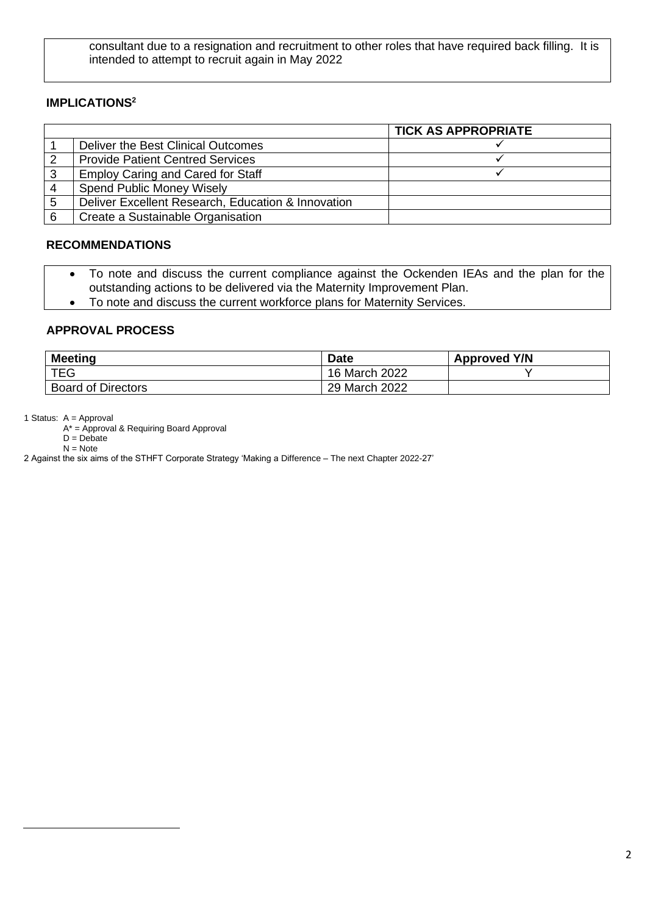consultant due to a resignation and recruitment to other roles that have required back filling. It is intended to attempt to recruit again in May 2022

## **IMPLICATIONS<sup>2</sup>**

|   |                                                    | <b>TICK AS APPROPRIATE</b> |
|---|----------------------------------------------------|----------------------------|
|   | Deliver the Best Clinical Outcomes                 |                            |
|   | <b>Provide Patient Centred Services</b>            |                            |
| 3 | <b>Employ Caring and Cared for Staff</b>           |                            |
|   | <b>Spend Public Money Wisely</b>                   |                            |
| 5 | Deliver Excellent Research, Education & Innovation |                            |
|   | Create a Sustainable Organisation                  |                            |

#### **RECOMMENDATIONS**

- To note and discuss the current compliance against the Ockenden IEAs and the plan for the outstanding actions to be delivered via the Maternity Improvement Plan.
- To note and discuss the current workforce plans for Maternity Services.

## **APPROVAL PROCESS**

| <b>Meeting</b>            | <b>Date</b>   | <b>Approved Y/N</b> |
|---------------------------|---------------|---------------------|
| <b>TEG</b>                | 16 March 2022 |                     |
| <b>Board of Directors</b> | 29 March 2022 |                     |

1 Status: A = Approval

 $A^*$  = Approval & Requiring Board Approval

 $D = Debate$ 

 $N = Note$ 

**INTRODUCTION** 2 Against the six aims of the STHFT Corporate Strategy 'Making a Difference – The next Chapter 2022-27'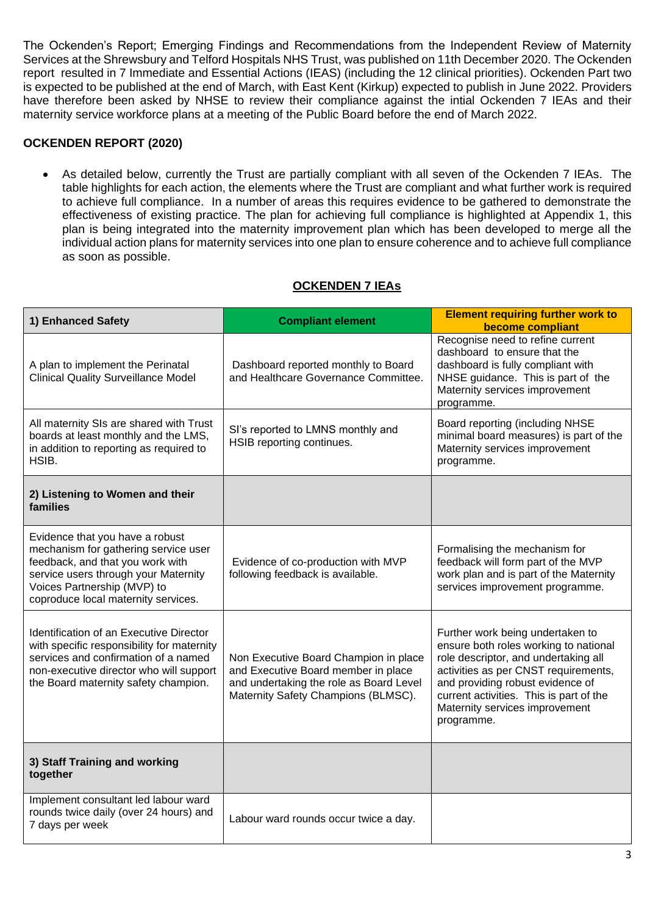The Ockenden's Report; Emerging Findings and Recommendations from the Independent Review of Maternity Services at the Shrewsbury and Telford Hospitals NHS Trust, was published on 11th December 2020. The Ockenden report resulted in 7 Immediate and Essential Actions (IEAS) (including the 12 clinical priorities). Ockenden Part two is expected to be published at the end of March, with East Kent (Kirkup) expected to publish in June 2022. Providers have therefore been asked by NHSE to review their compliance against the intial Ockenden 7 IEAs and their maternity service workforce plans at a meeting of the Public Board before the end of March 2022.

# **OCKENDEN REPORT (2020)**

• As detailed below, currently the Trust are partially compliant with all seven of the Ockenden 7 IEAs. The table highlights for each action, the elements where the Trust are compliant and what further work is required to achieve full compliance. In a number of areas this requires evidence to be gathered to demonstrate the effectiveness of existing practice. The plan for achieving full compliance is highlighted at Appendix 1, this plan is being integrated into the maternity improvement plan which has been developed to merge all the individual action plans for maternity services into one plan to ensure coherence and to achieve full compliance as soon as possible.

| 1) Enhanced Safety                                                                                                                                                                                                        | <b>Compliant element</b>                                                                                                                                       | <b>Element requiring further work to</b><br>become compliant                                                                                                                                                                                                                             |
|---------------------------------------------------------------------------------------------------------------------------------------------------------------------------------------------------------------------------|----------------------------------------------------------------------------------------------------------------------------------------------------------------|------------------------------------------------------------------------------------------------------------------------------------------------------------------------------------------------------------------------------------------------------------------------------------------|
| A plan to implement the Perinatal<br><b>Clinical Quality Surveillance Model</b>                                                                                                                                           | Dashboard reported monthly to Board<br>and Healthcare Governance Committee.                                                                                    | Recognise need to refine current<br>dashboard to ensure that the<br>dashboard is fully compliant with<br>NHSE guidance. This is part of the<br>Maternity services improvement<br>programme.                                                                                              |
| All maternity SIs are shared with Trust<br>boards at least monthly and the LMS,<br>in addition to reporting as required to<br>HSIB.                                                                                       | SI's reported to LMNS monthly and<br>HSIB reporting continues.                                                                                                 | Board reporting (including NHSE<br>minimal board measures) is part of the<br>Maternity services improvement<br>programme.                                                                                                                                                                |
| 2) Listening to Women and their<br>families                                                                                                                                                                               |                                                                                                                                                                |                                                                                                                                                                                                                                                                                          |
| Evidence that you have a robust<br>mechanism for gathering service user<br>feedback, and that you work with<br>service users through your Maternity<br>Voices Partnership (MVP) to<br>coproduce local maternity services. | Evidence of co-production with MVP<br>following feedback is available.                                                                                         | Formalising the mechanism for<br>feedback will form part of the MVP<br>work plan and is part of the Maternity<br>services improvement programme.                                                                                                                                         |
| Identification of an Executive Director<br>with specific responsibility for maternity<br>services and confirmation of a named<br>non-executive director who will support<br>the Board maternity safety champion.          | Non Executive Board Champion in place<br>and Executive Board member in place<br>and undertaking the role as Board Level<br>Maternity Safety Champions (BLMSC). | Further work being undertaken to<br>ensure both roles working to national<br>role descriptor, and undertaking all<br>activities as per CNST requirements,<br>and providing robust evidence of<br>current activities. This is part of the<br>Maternity services improvement<br>programme. |
| 3) Staff Training and working<br>together                                                                                                                                                                                 |                                                                                                                                                                |                                                                                                                                                                                                                                                                                          |
| Implement consultant led labour ward<br>rounds twice daily (over 24 hours) and<br>7 days per week                                                                                                                         | Labour ward rounds occur twice a day.                                                                                                                          |                                                                                                                                                                                                                                                                                          |

# **OCKENDEN 7 IEAs**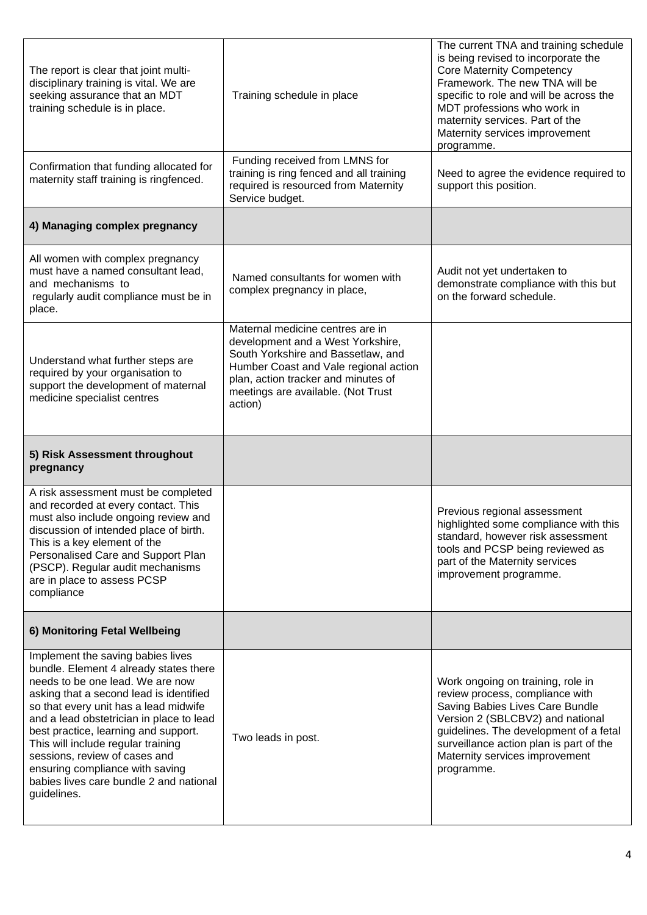| The report is clear that joint multi-<br>disciplinary training is vital. We are<br>seeking assurance that an MDT<br>training schedule is in place.                                                                                                                                                                  | Training schedule in place                                                                                                                                                                                                                   | The current TNA and training schedule<br>is being revised to incorporate the<br><b>Core Maternity Competency</b><br>Framework. The new TNA will be<br>specific to role and will be across the<br>MDT professions who work in<br>maternity services. Part of the<br>Maternity services improvement<br>programme. |
|---------------------------------------------------------------------------------------------------------------------------------------------------------------------------------------------------------------------------------------------------------------------------------------------------------------------|----------------------------------------------------------------------------------------------------------------------------------------------------------------------------------------------------------------------------------------------|-----------------------------------------------------------------------------------------------------------------------------------------------------------------------------------------------------------------------------------------------------------------------------------------------------------------|
| Confirmation that funding allocated for<br>maternity staff training is ringfenced.                                                                                                                                                                                                                                  | Funding received from LMNS for<br>training is ring fenced and all training<br>required is resourced from Maternity<br>Service budget.                                                                                                        | Need to agree the evidence required to<br>support this position.                                                                                                                                                                                                                                                |
| 4) Managing complex pregnancy                                                                                                                                                                                                                                                                                       |                                                                                                                                                                                                                                              |                                                                                                                                                                                                                                                                                                                 |
| All women with complex pregnancy<br>must have a named consultant lead,<br>and mechanisms to<br>regularly audit compliance must be in<br>place.                                                                                                                                                                      | Named consultants for women with<br>complex pregnancy in place,                                                                                                                                                                              | Audit not yet undertaken to<br>demonstrate compliance with this but<br>on the forward schedule.                                                                                                                                                                                                                 |
| Understand what further steps are<br>required by your organisation to<br>support the development of maternal<br>medicine specialist centres                                                                                                                                                                         | Maternal medicine centres are in<br>development and a West Yorkshire,<br>South Yorkshire and Bassetlaw, and<br>Humber Coast and Vale regional action<br>plan, action tracker and minutes of<br>meetings are available. (Not Trust<br>action) |                                                                                                                                                                                                                                                                                                                 |
| 5) Risk Assessment throughout<br>pregnancy                                                                                                                                                                                                                                                                          |                                                                                                                                                                                                                                              |                                                                                                                                                                                                                                                                                                                 |
| A risk assessment must be completed<br>and recorded at every contact. This<br>must also include ongoing review and<br>discussion of intended place of birth.<br>This is a key element of the<br>Personalised Care and Support Plan<br>(PSCP). Regular audit mechanisms<br>are in place to assess PCSP<br>compliance |                                                                                                                                                                                                                                              | Previous regional assessment<br>highlighted some compliance with this<br>standard, however risk assessment<br>tools and PCSP being reviewed as<br>part of the Maternity services<br>improvement programme.                                                                                                      |
|                                                                                                                                                                                                                                                                                                                     |                                                                                                                                                                                                                                              |                                                                                                                                                                                                                                                                                                                 |
| 6) Monitoring Fetal Wellbeing                                                                                                                                                                                                                                                                                       |                                                                                                                                                                                                                                              |                                                                                                                                                                                                                                                                                                                 |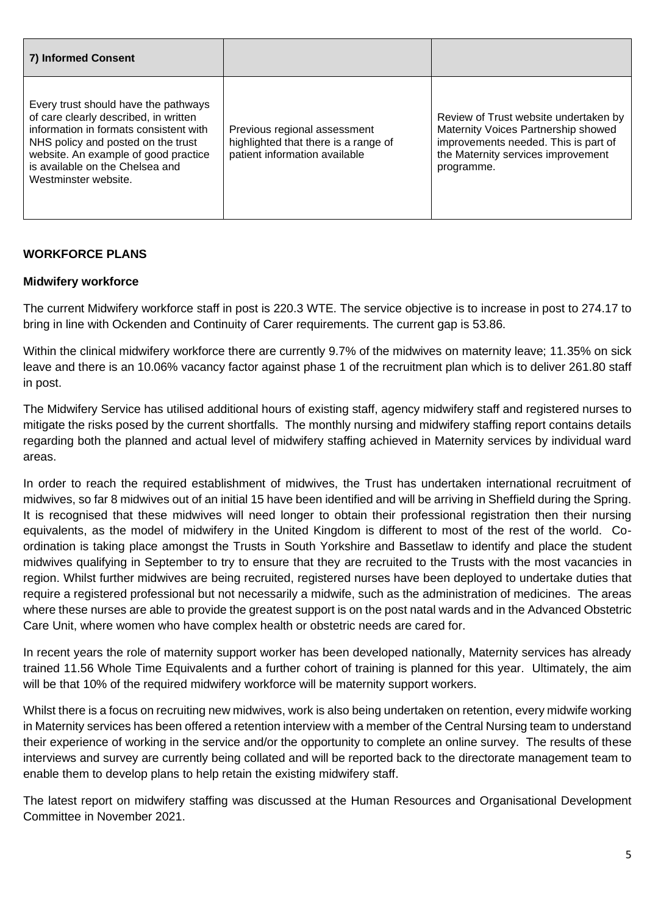| 7) Informed Consent                                                                                                                                                                                                                                              |                                                                                                       |                                                                                                                                                                          |
|------------------------------------------------------------------------------------------------------------------------------------------------------------------------------------------------------------------------------------------------------------------|-------------------------------------------------------------------------------------------------------|--------------------------------------------------------------------------------------------------------------------------------------------------------------------------|
| Every trust should have the pathways<br>of care clearly described, in written<br>information in formats consistent with<br>NHS policy and posted on the trust<br>website. An example of good practice<br>is available on the Chelsea and<br>Westminster website. | Previous regional assessment<br>highlighted that there is a range of<br>patient information available | Review of Trust website undertaken by<br>Maternity Voices Partnership showed<br>improvements needed. This is part of<br>the Maternity services improvement<br>programme. |

# **WORKFORCE PLANS**

# **Midwifery workforce**

The current Midwifery workforce staff in post is 220.3 WTE. The service objective is to increase in post to 274.17 to bring in line with Ockenden and Continuity of Carer requirements. The current gap is 53.86.

Within the clinical midwifery workforce there are currently 9.7% of the midwives on maternity leave; 11.35% on sick leave and there is an 10.06% vacancy factor against phase 1 of the recruitment plan which is to deliver 261.80 staff in post.

The Midwifery Service has utilised additional hours of existing staff, agency midwifery staff and registered nurses to mitigate the risks posed by the current shortfalls. The monthly nursing and midwifery staffing report contains details regarding both the planned and actual level of midwifery staffing achieved in Maternity services by individual ward areas.

In order to reach the required establishment of midwives, the Trust has undertaken international recruitment of midwives, so far 8 midwives out of an initial 15 have been identified and will be arriving in Sheffield during the Spring. It is recognised that these midwives will need longer to obtain their professional registration then their nursing equivalents, as the model of midwifery in the United Kingdom is different to most of the rest of the world. Coordination is taking place amongst the Trusts in South Yorkshire and Bassetlaw to identify and place the student midwives qualifying in September to try to ensure that they are recruited to the Trusts with the most vacancies in region. Whilst further midwives are being recruited, registered nurses have been deployed to undertake duties that require a registered professional but not necessarily a midwife, such as the administration of medicines. The areas where these nurses are able to provide the greatest support is on the post natal wards and in the Advanced Obstetric Care Unit, where women who have complex health or obstetric needs are cared for.

In recent years the role of maternity support worker has been developed nationally, Maternity services has already trained 11.56 Whole Time Equivalents and a further cohort of training is planned for this year. Ultimately, the aim will be that 10% of the required midwifery workforce will be maternity support workers.

Whilst there is a focus on recruiting new midwives, work is also being undertaken on retention, every midwife working in Maternity services has been offered a retention interview with a member of the Central Nursing team to understand their experience of working in the service and/or the opportunity to complete an online survey. The results of these interviews and survey are currently being collated and will be reported back to the directorate management team to enable them to develop plans to help retain the existing midwifery staff.

The latest report on midwifery staffing was discussed at the Human Resources and Organisational Development Committee in November 2021.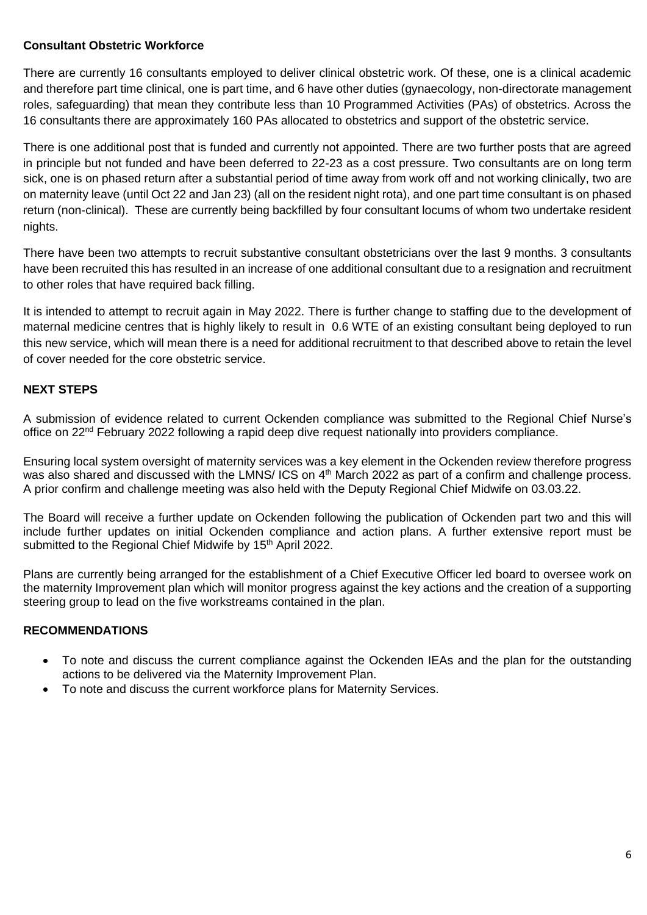## **Consultant Obstetric Workforce**

There are currently 16 consultants employed to deliver clinical obstetric work. Of these, one is a clinical academic and therefore part time clinical, one is part time, and 6 have other duties (gynaecology, non-directorate management roles, safeguarding) that mean they contribute less than 10 Programmed Activities (PAs) of obstetrics. Across the 16 consultants there are approximately 160 PAs allocated to obstetrics and support of the obstetric service.

There is one additional post that is funded and currently not appointed. There are two further posts that are agreed in principle but not funded and have been deferred to 22-23 as a cost pressure. Two consultants are on long term sick, one is on phased return after a substantial period of time away from work off and not working clinically, two are on maternity leave (until Oct 22 and Jan 23) (all on the resident night rota), and one part time consultant is on phased return (non-clinical). These are currently being backfilled by four consultant locums of whom two undertake resident nights.

There have been two attempts to recruit substantive consultant obstetricians over the last 9 months. 3 consultants have been recruited this has resulted in an increase of one additional consultant due to a resignation and recruitment to other roles that have required back filling.

It is intended to attempt to recruit again in May 2022. There is further change to staffing due to the development of maternal medicine centres that is highly likely to result in 0.6 WTE of an existing consultant being deployed to run this new service, which will mean there is a need for additional recruitment to that described above to retain the level of cover needed for the core obstetric service.

# **NEXT STEPS**

A submission of evidence related to current Ockenden compliance was submitted to the Regional Chief Nurse's office on 22<sup>nd</sup> February 2022 following a rapid deep dive request nationally into providers compliance.

Ensuring local system oversight of maternity services was a key element in the Ockenden review therefore progress was also shared and discussed with the LMNS/ ICS on 4<sup>th</sup> March 2022 as part of a confirm and challenge process. A prior confirm and challenge meeting was also held with the Deputy Regional Chief Midwife on 03.03.22.

The Board will receive a further update on Ockenden following the publication of Ockenden part two and this will include further updates on initial Ockenden compliance and action plans. A further extensive report must be submitted to the Regional Chief Midwife by 15<sup>th</sup> April 2022.

Plans are currently being arranged for the establishment of a Chief Executive Officer led board to oversee work on the maternity Improvement plan which will monitor progress against the key actions and the creation of a supporting steering group to lead on the five workstreams contained in the plan.

# **RECOMMENDATIONS**

- To note and discuss the current compliance against the Ockenden IEAs and the plan for the outstanding actions to be delivered via the Maternity Improvement Plan.
- To note and discuss the current workforce plans for Maternity Services.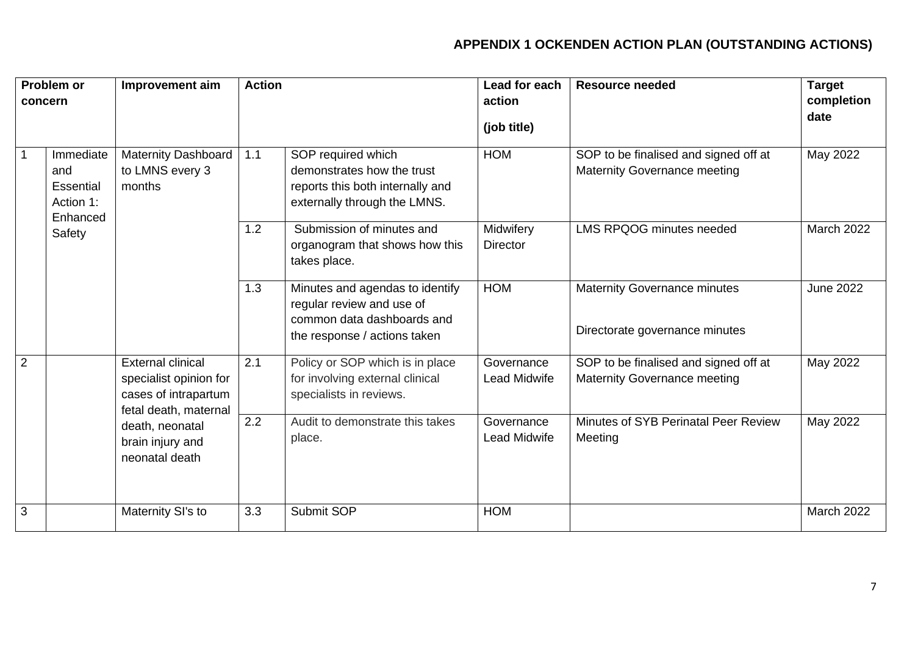# **APPENDIX 1 OCKENDEN ACTION PLAN (OUTSTANDING ACTIONS)**

| Problem or     |                                                                         | Improvement aim                                                                                     | <b>Action</b> |                                                                                                                            | Lead for each                | <b>Resource needed</b>                                                | <b>Target</b>      |
|----------------|-------------------------------------------------------------------------|-----------------------------------------------------------------------------------------------------|---------------|----------------------------------------------------------------------------------------------------------------------------|------------------------------|-----------------------------------------------------------------------|--------------------|
| concern        |                                                                         |                                                                                                     |               |                                                                                                                            | action                       |                                                                       | completion<br>date |
|                |                                                                         |                                                                                                     |               |                                                                                                                            | (job title)                  |                                                                       |                    |
| 1              | Immediate<br>and<br><b>Essential</b><br>Action 1:<br>Enhanced<br>Safety | <b>Maternity Dashboard</b><br>to LMNS every 3<br>months                                             | 1.1           | SOP required which<br>demonstrates how the trust<br>reports this both internally and<br>externally through the LMNS.       | <b>HOM</b>                   | SOP to be finalised and signed off at<br>Maternity Governance meeting | May 2022           |
|                |                                                                         |                                                                                                     | 1.2           | Submission of minutes and<br>organogram that shows how this<br>takes place.                                                | Midwifery<br><b>Director</b> | <b>LMS RPQOG minutes needed</b>                                       | <b>March 2022</b>  |
|                |                                                                         |                                                                                                     | 1.3           | Minutes and agendas to identify<br>regular review and use of<br>common data dashboards and<br>the response / actions taken | <b>HOM</b>                   | <b>Maternity Governance minutes</b><br>Directorate governance minutes | <b>June 2022</b>   |
| 2              |                                                                         | <b>External clinical</b><br>specialist opinion for<br>cases of intrapartum<br>fetal death, maternal | 2.1           | Policy or SOP which is in place<br>for involving external clinical<br>specialists in reviews.                              | Governance<br>Lead Midwife   | SOP to be finalised and signed off at<br>Maternity Governance meeting | May 2022           |
|                |                                                                         | death, neonatal<br>brain injury and<br>neonatal death                                               | 2.2           | Audit to demonstrate this takes<br>place.                                                                                  | Governance<br>Lead Midwife   | Minutes of SYB Perinatal Peer Review<br>Meeting                       | May 2022           |
| $\overline{3}$ |                                                                         | Maternity SI's to                                                                                   | 3.3           | Submit SOP                                                                                                                 | <b>HOM</b>                   |                                                                       | <b>March 2022</b>  |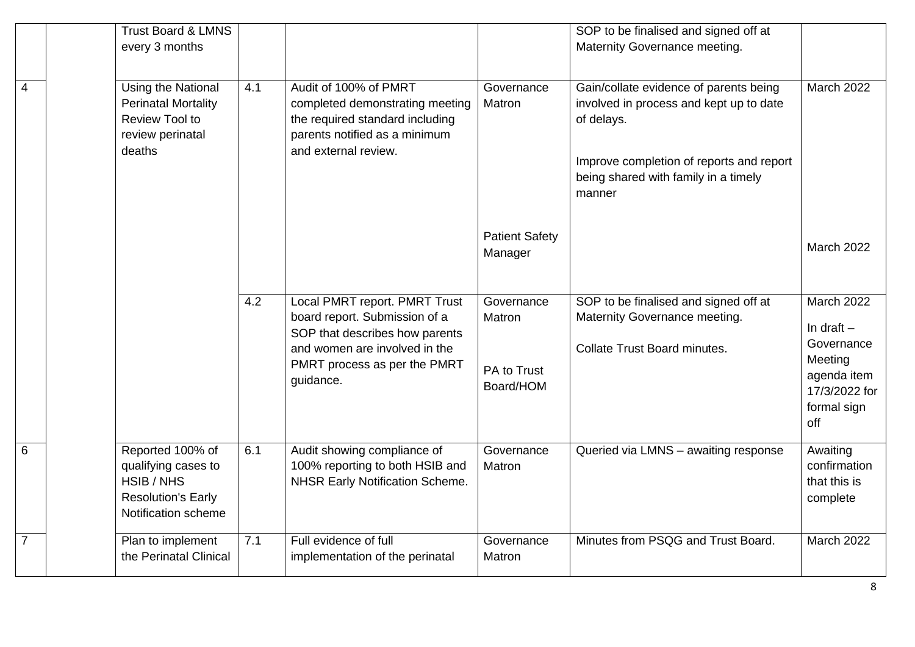| $\overline{4}$ | <b>Trust Board &amp; LMNS</b><br>every 3 months<br>Using the National<br><b>Perinatal Mortality</b>       | 4.1 | Audit of 100% of PMRT<br>completed demonstrating meeting                                                                          | Governance<br>Matron             | SOP to be finalised and signed off at<br>Maternity Governance meeting.<br>Gain/collate evidence of parents being<br>involved in process and kept up to date | March 2022                                                    |
|----------------|-----------------------------------------------------------------------------------------------------------|-----|-----------------------------------------------------------------------------------------------------------------------------------|----------------------------------|-------------------------------------------------------------------------------------------------------------------------------------------------------------|---------------------------------------------------------------|
|                | <b>Review Tool to</b><br>review perinatal<br>deaths                                                       |     | the required standard including<br>parents notified as a minimum<br>and external review.                                          |                                  | of delays.<br>Improve completion of reports and report<br>being shared with family in a timely<br>manner                                                    |                                                               |
|                |                                                                                                           |     |                                                                                                                                   | <b>Patient Safety</b><br>Manager |                                                                                                                                                             | <b>March 2022</b>                                             |
|                |                                                                                                           | 4.2 | Local PMRT report. PMRT Trust<br>board report. Submission of a<br>SOP that describes how parents<br>and women are involved in the | Governance<br>Matron             | SOP to be finalised and signed off at<br>Maternity Governance meeting.<br><b>Collate Trust Board minutes.</b>                                               | <b>March 2022</b><br>In draft $-$<br>Governance               |
|                |                                                                                                           |     | PMRT process as per the PMRT<br>guidance.                                                                                         | PA to Trust<br>Board/HOM         |                                                                                                                                                             | Meeting<br>agenda item<br>17/3/2022 for<br>formal sign<br>off |
| 6              | Reported 100% of<br>qualifying cases to<br>HSIB / NHS<br><b>Resolution's Early</b><br>Notification scheme | 6.1 | Audit showing compliance of<br>100% reporting to both HSIB and<br><b>NHSR Early Notification Scheme.</b>                          | Governance<br>Matron             | Queried via LMNS - awaiting response                                                                                                                        | Awaiting<br>confirmation<br>that this is<br>complete          |
| $\overline{7}$ | Plan to implement<br>the Perinatal Clinical                                                               | 7.1 | Full evidence of full<br>implementation of the perinatal                                                                          | Governance<br>Matron             | Minutes from PSQG and Trust Board.                                                                                                                          | <b>March 2022</b>                                             |

8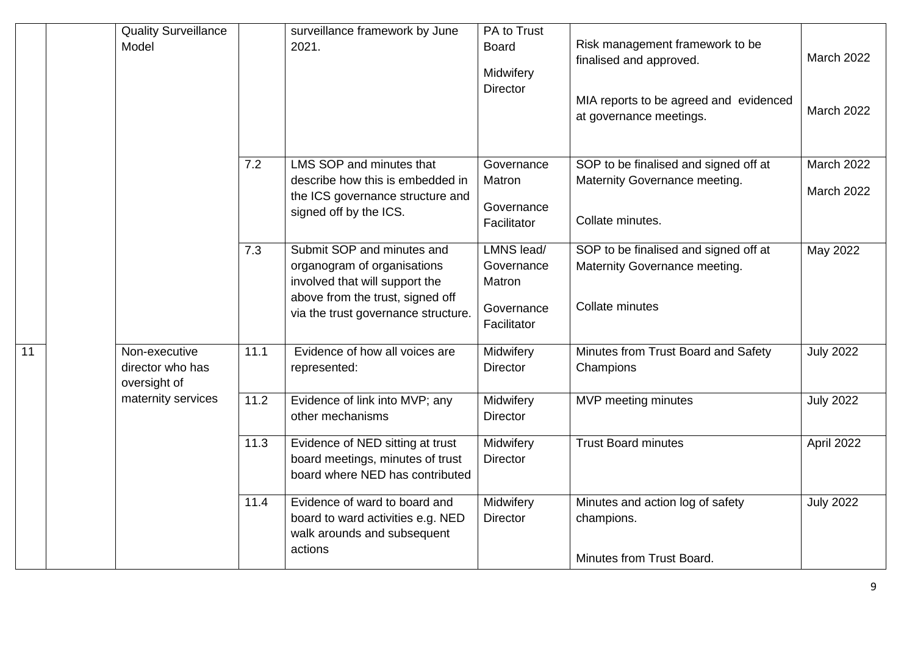|    | <b>Quality Surveillance</b><br>Model              |      | surveillance framework by June<br>2021.                                                                                                                                | PA to Trust<br><b>Board</b><br>Midwifery<br><b>Director</b>     | Risk management framework to be<br>finalised and approved.<br>MIA reports to be agreed and evidenced<br>at governance meetings. | <b>March 2022</b><br><b>March 2022</b> |
|----|---------------------------------------------------|------|------------------------------------------------------------------------------------------------------------------------------------------------------------------------|-----------------------------------------------------------------|---------------------------------------------------------------------------------------------------------------------------------|----------------------------------------|
|    |                                                   | 7.2  | LMS SOP and minutes that<br>describe how this is embedded in<br>the ICS governance structure and<br>signed off by the ICS.                                             | Governance<br>Matron<br>Governance<br>Facilitator               | SOP to be finalised and signed off at<br>Maternity Governance meeting.<br>Collate minutes.                                      | <b>March 2022</b><br><b>March 2022</b> |
|    |                                                   | 7.3  | Submit SOP and minutes and<br>organogram of organisations<br>involved that will support the<br>above from the trust, signed off<br>via the trust governance structure. | LMNS lead/<br>Governance<br>Matron<br>Governance<br>Facilitator | SOP to be finalised and signed off at<br>Maternity Governance meeting.<br>Collate minutes                                       | May 2022                               |
| 11 | Non-executive<br>director who has<br>oversight of | 11.1 | Evidence of how all voices are<br>represented:                                                                                                                         | Midwifery<br><b>Director</b>                                    | Minutes from Trust Board and Safety<br>Champions                                                                                | <b>July 2022</b>                       |
|    | maternity services                                | 11.2 | Evidence of link into MVP; any<br>other mechanisms                                                                                                                     | Midwifery<br><b>Director</b>                                    | MVP meeting minutes                                                                                                             | <b>July 2022</b>                       |
|    |                                                   | 11.3 | Evidence of NED sitting at trust<br>board meetings, minutes of trust<br>board where NED has contributed                                                                | Midwifery<br><b>Director</b>                                    | <b>Trust Board minutes</b>                                                                                                      | April 2022                             |
|    |                                                   | 11.4 | Evidence of ward to board and<br>board to ward activities e.g. NED<br>walk arounds and subsequent<br>actions                                                           | Midwifery<br><b>Director</b>                                    | Minutes and action log of safety<br>champions.                                                                                  | <b>July 2022</b>                       |
|    |                                                   |      |                                                                                                                                                                        |                                                                 | Minutes from Trust Board.                                                                                                       |                                        |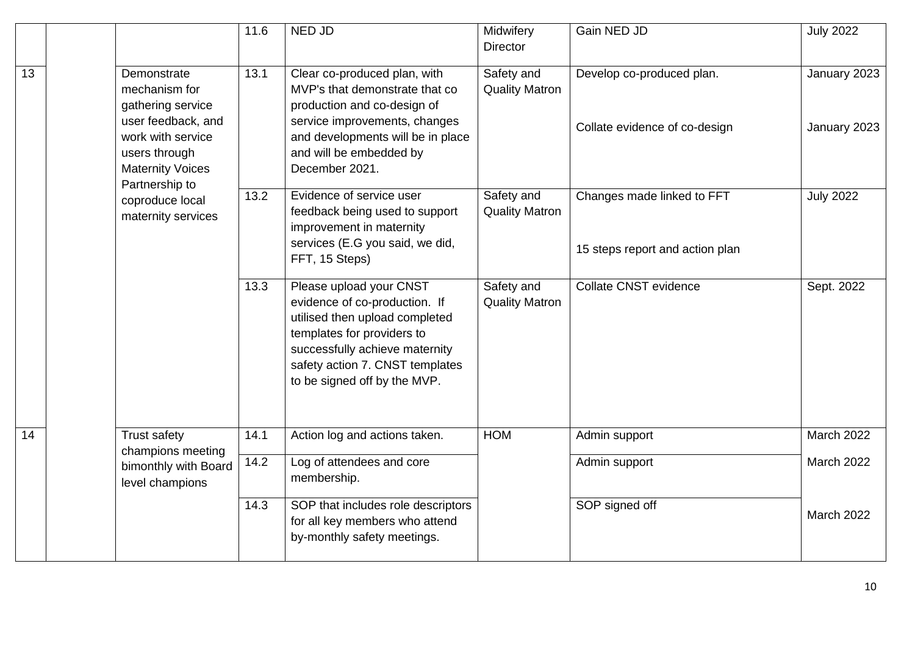|                 |                                                                                                                                                            | 11.6 | NED JD                                                                                                                                                                                                                        | Midwifery<br><b>Director</b>        | Gain NED JD                                                   | <b>July 2022</b>             |
|-----------------|------------------------------------------------------------------------------------------------------------------------------------------------------------|------|-------------------------------------------------------------------------------------------------------------------------------------------------------------------------------------------------------------------------------|-------------------------------------|---------------------------------------------------------------|------------------------------|
| $\overline{13}$ | Demonstrate<br>mechanism for<br>gathering service<br>user feedback, and<br>work with service<br>users through<br><b>Maternity Voices</b><br>Partnership to | 13.1 | Clear co-produced plan, with<br>MVP's that demonstrate that co<br>production and co-design of<br>service improvements, changes<br>and developments will be in place<br>and will be embedded by<br>December 2021.              | Safety and<br><b>Quality Matron</b> | Develop co-produced plan.<br>Collate evidence of co-design    | January 2023<br>January 2023 |
|                 | coproduce local<br>maternity services                                                                                                                      | 13.2 | Evidence of service user<br>feedback being used to support<br>improvement in maternity<br>services (E.G you said, we did,<br>FFT, 15 Steps)                                                                                   | Safety and<br><b>Quality Matron</b> | Changes made linked to FFT<br>15 steps report and action plan | <b>July 2022</b>             |
|                 |                                                                                                                                                            | 13.3 | Please upload your CNST<br>evidence of co-production. If<br>utilised then upload completed<br>templates for providers to<br>successfully achieve maternity<br>safety action 7. CNST templates<br>to be signed off by the MVP. | Safety and<br><b>Quality Matron</b> | Collate CNST evidence                                         | Sept. 2022                   |
| $\overline{14}$ | Trust safety<br>champions meeting                                                                                                                          | 14.1 | Action log and actions taken.                                                                                                                                                                                                 | <b>HOM</b>                          | Admin support                                                 | <b>March 2022</b>            |
|                 | bimonthly with Board<br>level champions                                                                                                                    | 14.2 | Log of attendees and core<br>membership.                                                                                                                                                                                      |                                     | Admin support                                                 | <b>March 2022</b>            |
|                 |                                                                                                                                                            | 14.3 | SOP that includes role descriptors<br>for all key members who attend<br>by-monthly safety meetings.                                                                                                                           |                                     | SOP signed off                                                | <b>March 2022</b>            |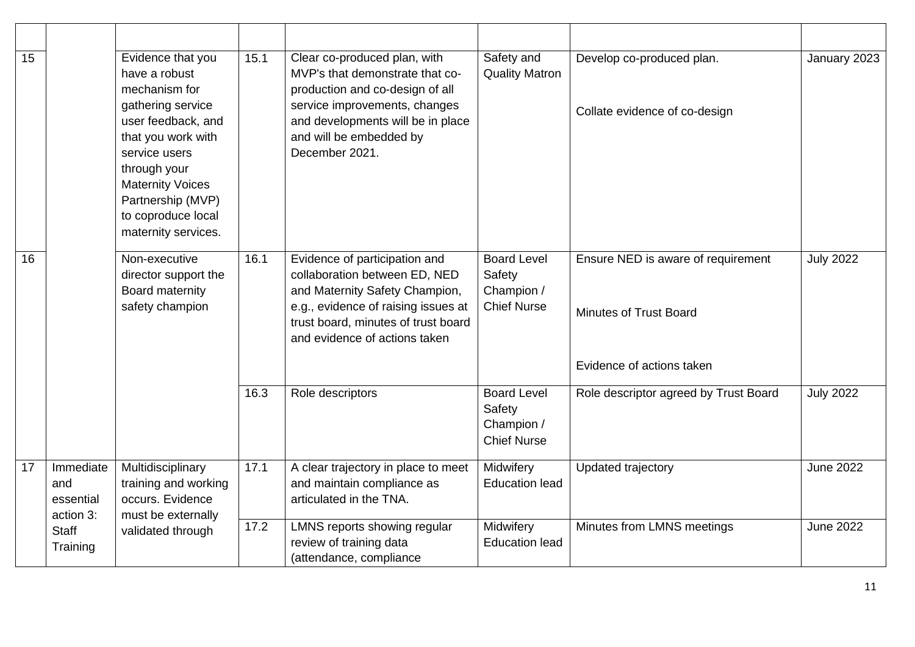| 15 |                                            | Evidence that you<br>have a robust<br>mechanism for<br>gathering service<br>user feedback, and<br>that you work with<br>service users<br>through your<br><b>Maternity Voices</b><br>Partnership (MVP)<br>to coproduce local<br>maternity services. | 15.1 | Clear co-produced plan, with<br>MVP's that demonstrate that co-<br>production and co-design of all<br>service improvements, changes<br>and developments will be in place<br>and will be embedded by<br>December 2021. | Safety and<br><b>Quality Matron</b>                              | Develop co-produced plan.<br>Collate evidence of co-design                                | January 2023     |
|----|--------------------------------------------|----------------------------------------------------------------------------------------------------------------------------------------------------------------------------------------------------------------------------------------------------|------|-----------------------------------------------------------------------------------------------------------------------------------------------------------------------------------------------------------------------|------------------------------------------------------------------|-------------------------------------------------------------------------------------------|------------------|
| 16 |                                            | Non-executive<br>director support the<br>Board maternity<br>safety champion                                                                                                                                                                        | 16.1 | Evidence of participation and<br>collaboration between ED, NED<br>and Maternity Safety Champion,<br>e.g., evidence of raising issues at<br>trust board, minutes of trust board<br>and evidence of actions taken       | <b>Board Level</b><br>Safety<br>Champion /<br><b>Chief Nurse</b> | Ensure NED is aware of requirement<br>Minutes of Trust Board<br>Evidence of actions taken | <b>July 2022</b> |
|    |                                            |                                                                                                                                                                                                                                                    | 16.3 | Role descriptors                                                                                                                                                                                                      | <b>Board Level</b><br>Safety<br>Champion /<br><b>Chief Nurse</b> | Role descriptor agreed by Trust Board                                                     | <b>July 2022</b> |
| 17 | Immediate<br>and<br>essential<br>action 3: | Multidisciplinary<br>training and working<br>occurs. Evidence<br>must be externally                                                                                                                                                                | 17.1 | A clear trajectory in place to meet<br>and maintain compliance as<br>articulated in the TNA.                                                                                                                          | Midwifery<br><b>Education lead</b>                               | Updated trajectory                                                                        | <b>June 2022</b> |
|    | <b>Staff</b><br>Training                   | validated through                                                                                                                                                                                                                                  | 17.2 | LMNS reports showing regular<br>review of training data<br>(attendance, compliance                                                                                                                                    | Midwifery<br><b>Education lead</b>                               | Minutes from LMNS meetings                                                                | <b>June 2022</b> |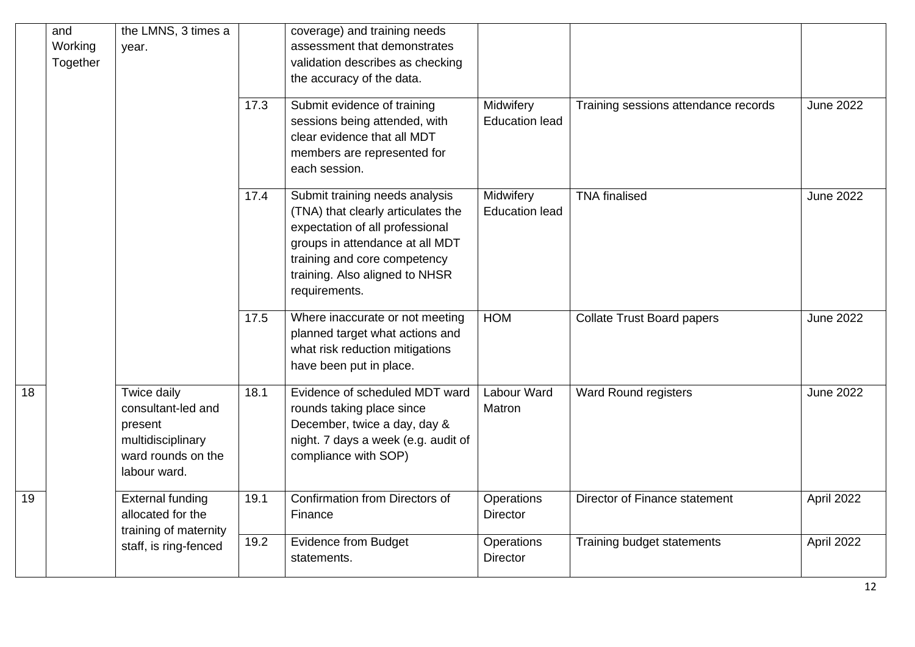| and<br>Working<br>Together |  | the LMNS, 3 times a<br>year.                                                                            | 17.3 | coverage) and training needs<br>assessment that demonstrates<br>validation describes as checking<br>the accuracy of the data.<br>Submit evidence of training                                                                  | Midwifery                          | Training sessions attendance records | <b>June 2022</b> |
|----------------------------|--|---------------------------------------------------------------------------------------------------------|------|-------------------------------------------------------------------------------------------------------------------------------------------------------------------------------------------------------------------------------|------------------------------------|--------------------------------------|------------------|
|                            |  |                                                                                                         |      | sessions being attended, with<br>clear evidence that all MDT<br>members are represented for<br>each session.                                                                                                                  | <b>Education lead</b>              |                                      |                  |
|                            |  |                                                                                                         | 17.4 | Submit training needs analysis<br>(TNA) that clearly articulates the<br>expectation of all professional<br>groups in attendance at all MDT<br>training and core competency<br>training. Also aligned to NHSR<br>requirements. | Midwifery<br><b>Education lead</b> | <b>TNA</b> finalised                 | <b>June 2022</b> |
|                            |  |                                                                                                         | 17.5 | Where inaccurate or not meeting<br>planned target what actions and<br>what risk reduction mitigations<br>have been put in place.                                                                                              | <b>HOM</b>                         | <b>Collate Trust Board papers</b>    | <b>June 2022</b> |
| 18                         |  | Twice daily<br>consultant-led and<br>present<br>multidisciplinary<br>ward rounds on the<br>labour ward. | 18.1 | Evidence of scheduled MDT ward<br>rounds taking place since<br>December, twice a day, day &<br>night. 7 days a week (e.g. audit of<br>compliance with SOP)                                                                    | Labour Ward<br>Matron              | <b>Ward Round registers</b>          | <b>June 2022</b> |
| 19                         |  | <b>External funding</b><br>allocated for the<br>training of maternity                                   | 19.1 | Confirmation from Directors of<br>Finance                                                                                                                                                                                     | Operations<br><b>Director</b>      | Director of Finance statement        | April 2022       |
|                            |  | staff, is ring-fenced                                                                                   | 19.2 | <b>Evidence from Budget</b><br>statements.                                                                                                                                                                                    | Operations<br><b>Director</b>      | Training budget statements           | April 2022       |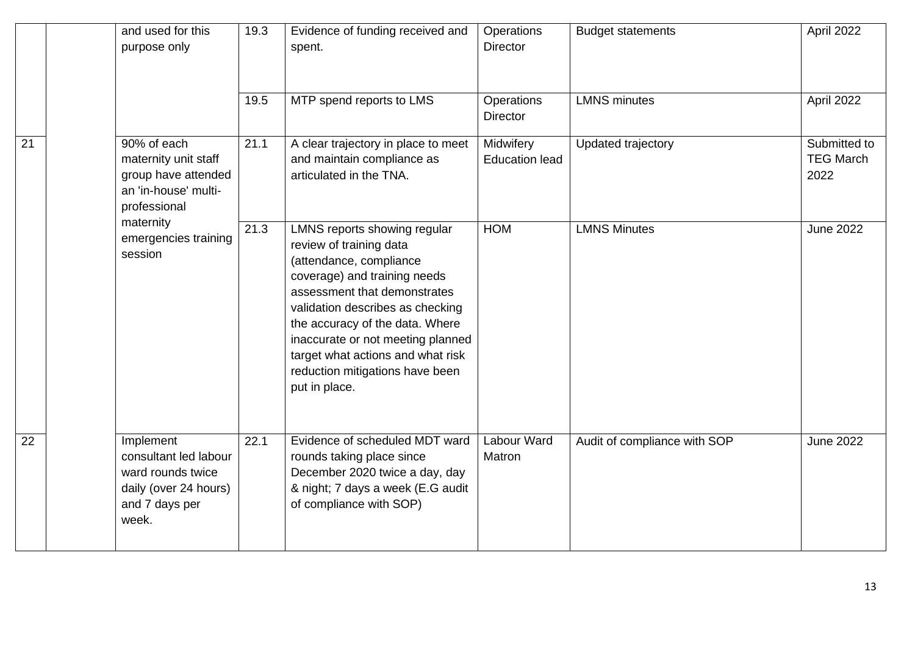|                 | and used for this<br>purpose only                                                                           | 19.3 | Evidence of funding received and<br>spent.                                                                                                                                                                                                                                                                                                              | Operations<br><b>Director</b>      | <b>Budget statements</b>     | April 2022                               |
|-----------------|-------------------------------------------------------------------------------------------------------------|------|---------------------------------------------------------------------------------------------------------------------------------------------------------------------------------------------------------------------------------------------------------------------------------------------------------------------------------------------------------|------------------------------------|------------------------------|------------------------------------------|
|                 |                                                                                                             | 19.5 | MTP spend reports to LMS                                                                                                                                                                                                                                                                                                                                | Operations<br><b>Director</b>      | <b>LMNS</b> minutes          | April 2022                               |
| $\overline{21}$ | 90% of each<br>maternity unit staff<br>group have attended<br>an 'in-house' multi-<br>professional          | 21.1 | A clear trajectory in place to meet<br>and maintain compliance as<br>articulated in the TNA.                                                                                                                                                                                                                                                            | Midwifery<br><b>Education lead</b> | Updated trajectory           | Submitted to<br><b>TEG March</b><br>2022 |
|                 | maternity<br>emergencies training<br>session                                                                | 21.3 | LMNS reports showing regular<br>review of training data<br>(attendance, compliance<br>coverage) and training needs<br>assessment that demonstrates<br>validation describes as checking<br>the accuracy of the data. Where<br>inaccurate or not meeting planned<br>target what actions and what risk<br>reduction mitigations have been<br>put in place. | <b>HOM</b>                         | <b>LMNS Minutes</b>          | <b>June 2022</b>                         |
| $\overline{22}$ | Implement<br>consultant led labour<br>ward rounds twice<br>daily (over 24 hours)<br>and 7 days per<br>week. | 22.1 | Evidence of scheduled MDT ward<br>rounds taking place since<br>December 2020 twice a day, day<br>& night; 7 days a week (E.G audit<br>of compliance with SOP)                                                                                                                                                                                           | <b>Labour Ward</b><br>Matron       | Audit of compliance with SOP | <b>June 2022</b>                         |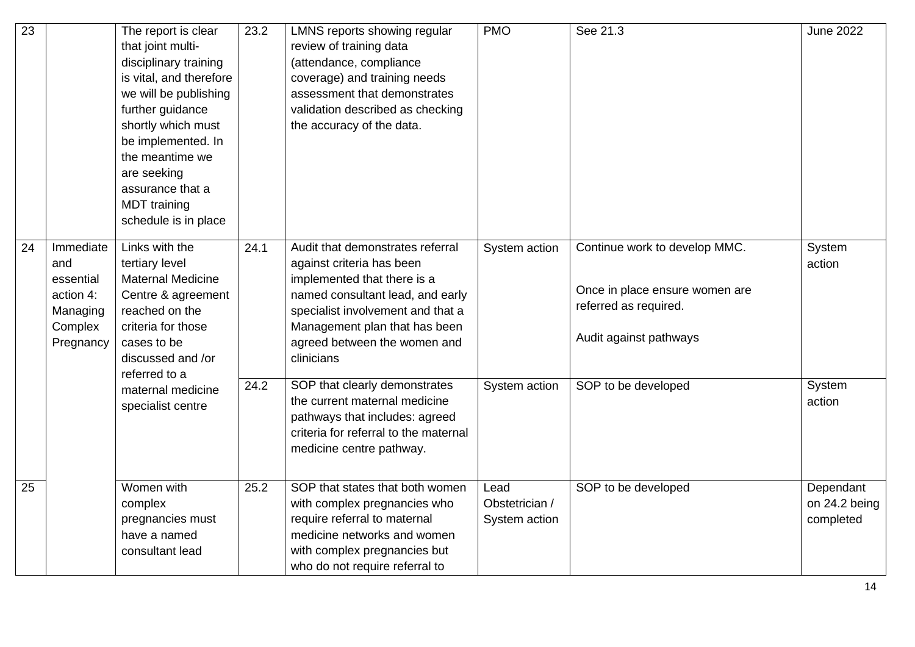| $\overline{23}$ |                                                                                | The report is clear<br>that joint multi-<br>disciplinary training<br>is vital, and therefore<br>we will be publishing<br>further guidance<br>shortly which must<br>be implemented. In<br>the meantime we<br>are seeking<br>assurance that a<br><b>MDT</b> training<br>schedule is in place | 23.2 | LMNS reports showing regular<br>review of training data<br>(attendance, compliance<br>coverage) and training needs<br>assessment that demonstrates<br>validation described as checking<br>the accuracy of the data.                                  | <b>PMO</b>                              | See 21.3                                                                                                           | <b>June 2022</b>                        |
|-----------------|--------------------------------------------------------------------------------|--------------------------------------------------------------------------------------------------------------------------------------------------------------------------------------------------------------------------------------------------------------------------------------------|------|------------------------------------------------------------------------------------------------------------------------------------------------------------------------------------------------------------------------------------------------------|-----------------------------------------|--------------------------------------------------------------------------------------------------------------------|-----------------------------------------|
| 24              | Immediate<br>and<br>essential<br>action 4:<br>Managing<br>Complex<br>Pregnancy | Links with the<br>tertiary level<br><b>Maternal Medicine</b><br>Centre & agreement<br>reached on the<br>criteria for those<br>cases to be<br>discussed and /or<br>referred to a                                                                                                            | 24.1 | Audit that demonstrates referral<br>against criteria has been<br>implemented that there is a<br>named consultant lead, and early<br>specialist involvement and that a<br>Management plan that has been<br>agreed between the women and<br>clinicians | System action                           | Continue work to develop MMC.<br>Once in place ensure women are<br>referred as required.<br>Audit against pathways | System<br>action                        |
|                 |                                                                                | maternal medicine<br>specialist centre                                                                                                                                                                                                                                                     | 24.2 | SOP that clearly demonstrates<br>the current maternal medicine<br>pathways that includes: agreed<br>criteria for referral to the maternal<br>medicine centre pathway.                                                                                | System action                           | SOP to be developed                                                                                                | System<br>action                        |
| 25              |                                                                                | Women with<br>complex<br>pregnancies must<br>have a named<br>consultant lead                                                                                                                                                                                                               | 25.2 | SOP that states that both women<br>with complex pregnancies who<br>require referral to maternal<br>medicine networks and women<br>with complex pregnancies but<br>who do not require referral to                                                     | Lead<br>Obstetrician /<br>System action | SOP to be developed                                                                                                | Dependant<br>on 24.2 being<br>completed |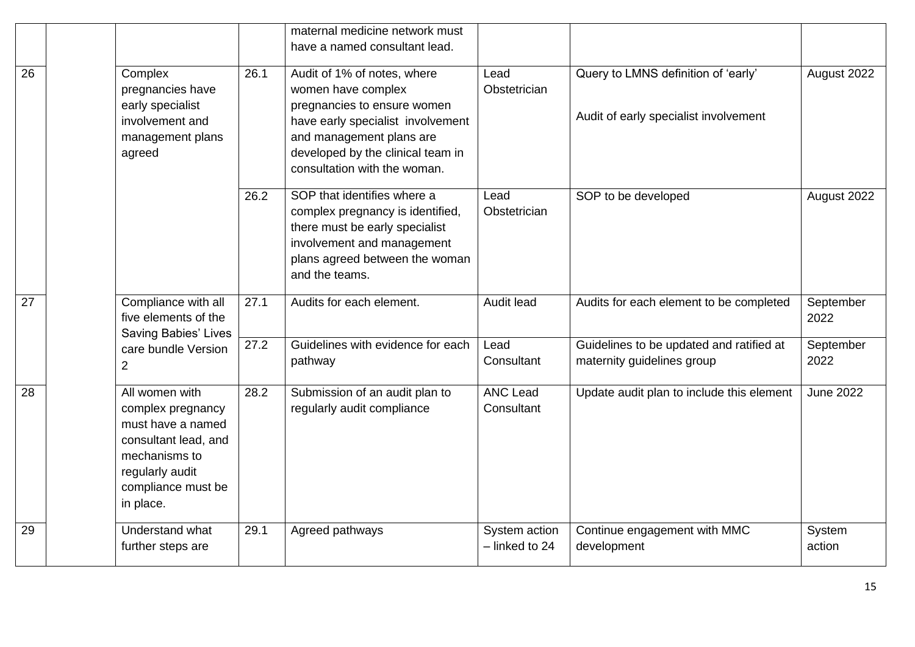|    |                                                                                                                                                         |      | maternal medicine network must<br>have a named consultant lead.                                                                                                                                                        |                                 |                                                                              |                   |
|----|---------------------------------------------------------------------------------------------------------------------------------------------------------|------|------------------------------------------------------------------------------------------------------------------------------------------------------------------------------------------------------------------------|---------------------------------|------------------------------------------------------------------------------|-------------------|
| 26 | Complex<br>pregnancies have<br>early specialist<br>involvement and<br>management plans<br>agreed                                                        | 26.1 | Audit of 1% of notes, where<br>women have complex<br>pregnancies to ensure women<br>have early specialist involvement<br>and management plans are<br>developed by the clinical team in<br>consultation with the woman. | Lead<br>Obstetrician            | Query to LMNS definition of 'early'<br>Audit of early specialist involvement | August 2022       |
|    |                                                                                                                                                         | 26.2 | SOP that identifies where a<br>complex pregnancy is identified,<br>there must be early specialist<br>involvement and management<br>plans agreed between the woman<br>and the teams.                                    | Lead<br>Obstetrician            | SOP to be developed                                                          | August 2022       |
| 27 | Compliance with all<br>five elements of the<br><b>Saving Babies' Lives</b>                                                                              | 27.1 | Audits for each element.                                                                                                                                                                                               | Audit lead                      | Audits for each element to be completed                                      | September<br>2022 |
|    | care bundle Version<br>$\overline{2}$                                                                                                                   | 27.2 | Guidelines with evidence for each<br>pathway                                                                                                                                                                           | Lead<br>Consultant              | Guidelines to be updated and ratified at<br>maternity guidelines group       | September<br>2022 |
| 28 | All women with<br>complex pregnancy<br>must have a named<br>consultant lead, and<br>mechanisms to<br>regularly audit<br>compliance must be<br>in place. | 28.2 | Submission of an audit plan to<br>regularly audit compliance                                                                                                                                                           | <b>ANC Lead</b><br>Consultant   | Update audit plan to include this element                                    | <b>June 2022</b>  |
| 29 | Understand what<br>further steps are                                                                                                                    | 29.1 | Agreed pathways                                                                                                                                                                                                        | System action<br>- linked to 24 | Continue engagement with MMC<br>development                                  | System<br>action  |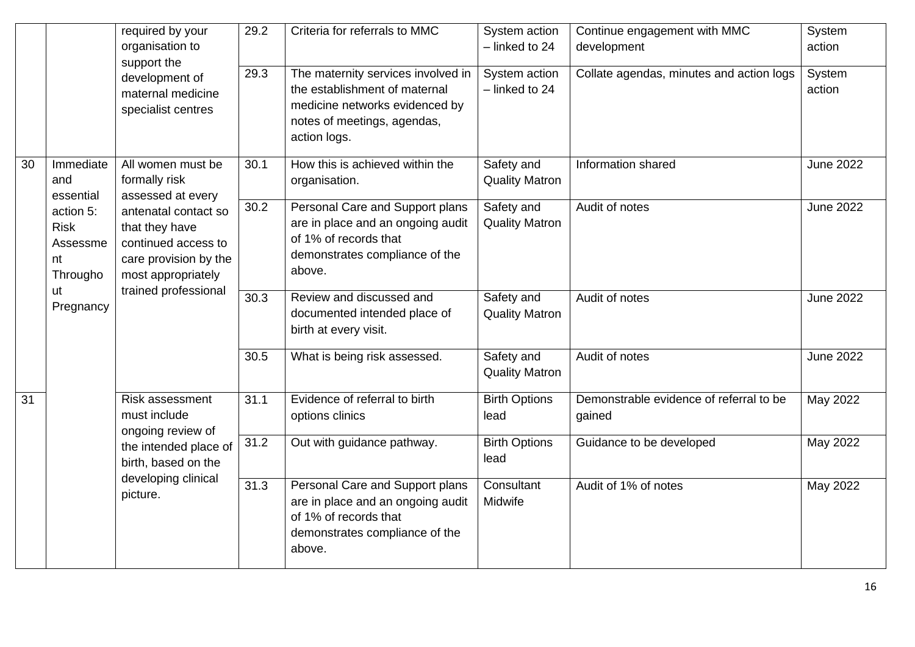|                 |                                                        | required by your<br>organisation to                                                                          | 29.2 | Criteria for referrals to MMC                                                                                                                        | System action<br>$-$ linked to 24                                                                                                         | Continue engagement with MMC<br>development       | System<br>action |                  |
|-----------------|--------------------------------------------------------|--------------------------------------------------------------------------------------------------------------|------|------------------------------------------------------------------------------------------------------------------------------------------------------|-------------------------------------------------------------------------------------------------------------------------------------------|---------------------------------------------------|------------------|------------------|
|                 |                                                        | support the<br>development of<br>maternal medicine<br>specialist centres                                     | 29.3 | The maternity services involved in<br>the establishment of maternal<br>medicine networks evidenced by<br>notes of meetings, agendas,<br>action logs. | System action<br>- linked to 24                                                                                                           | Collate agendas, minutes and action logs          | System<br>action |                  |
| 30              | Immediate<br>and<br>essential                          | All women must be<br>formally risk<br>assessed at every                                                      | 30.1 | How this is achieved within the<br>organisation.                                                                                                     | Safety and<br><b>Quality Matron</b>                                                                                                       | Information shared                                | <b>June 2022</b> |                  |
|                 | action 5:<br><b>Risk</b><br>Assessme<br>nt<br>Througho | antenatal contact so<br>that they have<br>continued access to<br>care provision by the<br>most appropriately |      | 30.2                                                                                                                                                 | Personal Care and Support plans<br>are in place and an ongoing audit<br>of 1% of records that<br>demonstrates compliance of the<br>above. | Safety and<br><b>Quality Matron</b>               | Audit of notes   | <b>June 2022</b> |
|                 | ut<br>Pregnancy                                        | trained professional                                                                                         | 30.3 | Review and discussed and<br>documented intended place of<br>birth at every visit.                                                                    | Safety and<br><b>Quality Matron</b>                                                                                                       | Audit of notes                                    | <b>June 2022</b> |                  |
|                 |                                                        |                                                                                                              | 30.5 | What is being risk assessed.                                                                                                                         | Safety and<br><b>Quality Matron</b>                                                                                                       | Audit of notes                                    | <b>June 2022</b> |                  |
| $\overline{31}$ |                                                        | Risk assessment<br>must include<br>ongoing review of                                                         | 31.1 | Evidence of referral to birth<br>options clinics                                                                                                     | <b>Birth Options</b><br>lead                                                                                                              | Demonstrable evidence of referral to be<br>gained | May 2022         |                  |
|                 | birth, based on the<br>developing clinical<br>picture. | the intended place of                                                                                        | 31.2 | Out with guidance pathway.                                                                                                                           | <b>Birth Options</b><br>lead                                                                                                              | Guidance to be developed                          | May 2022         |                  |
|                 |                                                        |                                                                                                              | 31.3 | Personal Care and Support plans<br>are in place and an ongoing audit<br>of 1% of records that<br>demonstrates compliance of the<br>above.            | Consultant<br>Midwife                                                                                                                     | Audit of 1% of notes                              | May 2022         |                  |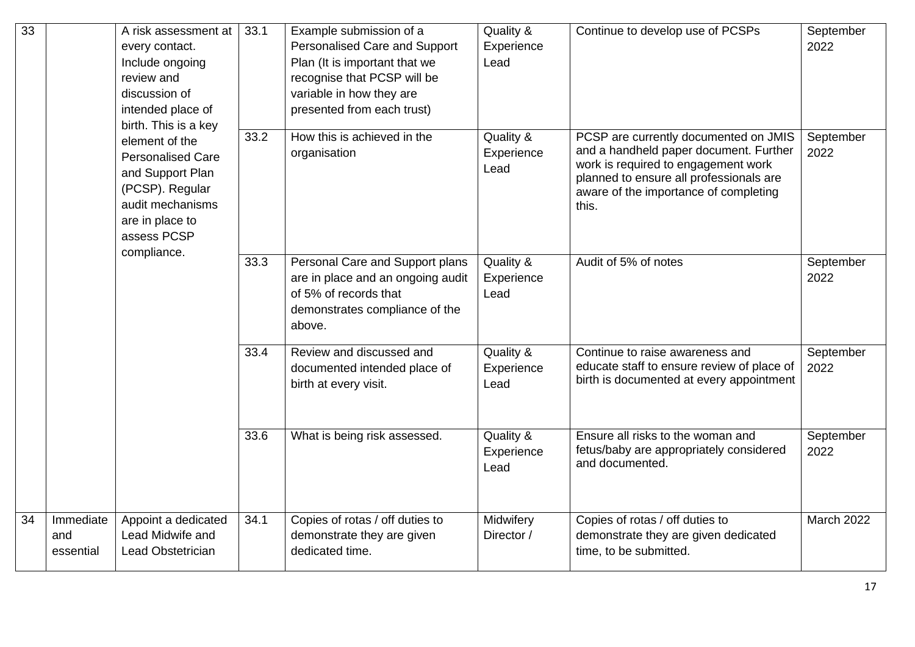| 33 |                               | A risk assessment at<br>every contact.<br>Include ongoing<br>review and<br>discussion of<br>intended place of<br>birth. This is a key   | 33.1 | Example submission of a<br>Personalised Care and Support<br>Plan (It is important that we<br>recognise that PCSP will be<br>variable in how they are<br>presented from each trust) | Quality &<br>Experience<br>Lead | Continue to develop use of PCSPs                                                                                                                                                                                    | September<br>2022 |
|----|-------------------------------|-----------------------------------------------------------------------------------------------------------------------------------------|------|------------------------------------------------------------------------------------------------------------------------------------------------------------------------------------|---------------------------------|---------------------------------------------------------------------------------------------------------------------------------------------------------------------------------------------------------------------|-------------------|
|    |                               | element of the<br><b>Personalised Care</b><br>and Support Plan<br>(PCSP). Regular<br>audit mechanisms<br>are in place to<br>assess PCSP | 33.2 | How this is achieved in the<br>organisation                                                                                                                                        | Quality &<br>Experience<br>Lead | PCSP are currently documented on JMIS<br>and a handheld paper document. Further<br>work is required to engagement work<br>planned to ensure all professionals are<br>aware of the importance of completing<br>this. | September<br>2022 |
|    |                               | compliance.                                                                                                                             | 33.3 | Personal Care and Support plans<br>are in place and an ongoing audit<br>of 5% of records that<br>demonstrates compliance of the<br>above.                                          | Quality &<br>Experience<br>Lead | Audit of 5% of notes                                                                                                                                                                                                | September<br>2022 |
|    |                               |                                                                                                                                         | 33.4 | Review and discussed and<br>documented intended place of<br>birth at every visit.                                                                                                  | Quality &<br>Experience<br>Lead | Continue to raise awareness and<br>educate staff to ensure review of place of<br>birth is documented at every appointment                                                                                           | September<br>2022 |
|    |                               |                                                                                                                                         | 33.6 | What is being risk assessed.                                                                                                                                                       | Quality &<br>Experience<br>Lead | Ensure all risks to the woman and<br>fetus/baby are appropriately considered<br>and documented.                                                                                                                     | September<br>2022 |
| 34 | Immediate<br>and<br>essential | Appoint a dedicated<br>Lead Midwife and<br>Lead Obstetrician                                                                            | 34.1 | Copies of rotas / off duties to<br>demonstrate they are given<br>dedicated time.                                                                                                   | Midwifery<br>Director /         | Copies of rotas / off duties to<br>demonstrate they are given dedicated<br>time, to be submitted.                                                                                                                   | <b>March 2022</b> |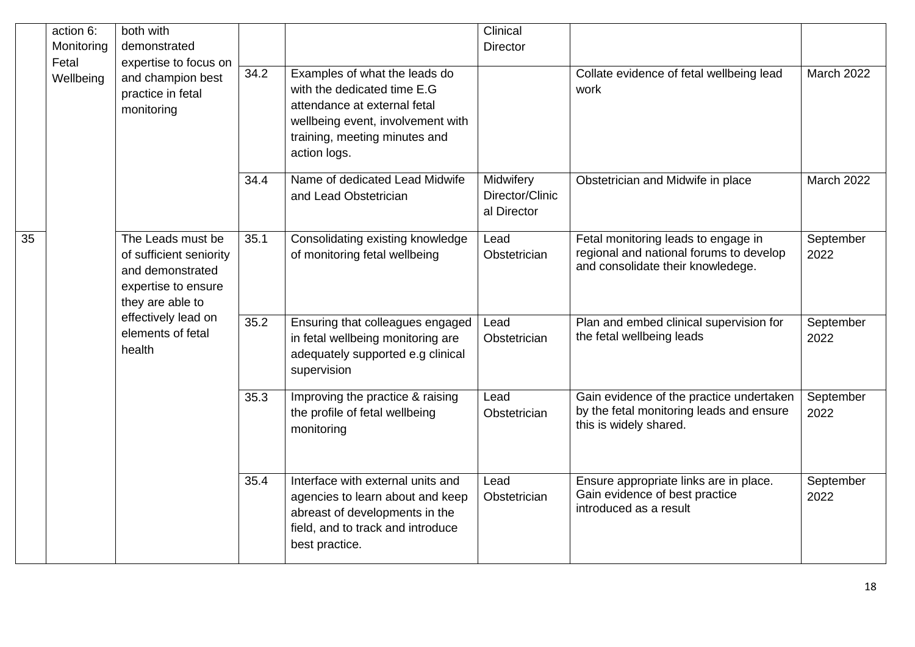|    | action 6:<br>Monitoring | both with<br>demonstrated                                                                                   |      |                                                                                                                                                                                    | Clinical<br><b>Director</b>                 |                                                                                                                     |                   |
|----|-------------------------|-------------------------------------------------------------------------------------------------------------|------|------------------------------------------------------------------------------------------------------------------------------------------------------------------------------------|---------------------------------------------|---------------------------------------------------------------------------------------------------------------------|-------------------|
|    | Fetal<br>Wellbeing      | expertise to focus on<br>and champion best<br>practice in fetal<br>monitoring                               | 34.2 | Examples of what the leads do<br>with the dedicated time E.G<br>attendance at external fetal<br>wellbeing event, involvement with<br>training, meeting minutes and<br>action logs. |                                             | Collate evidence of fetal wellbeing lead<br>work                                                                    | March 2022        |
|    |                         |                                                                                                             | 34.4 | Name of dedicated Lead Midwife<br>and Lead Obstetrician                                                                                                                            | Midwifery<br>Director/Clinic<br>al Director | Obstetrician and Midwife in place                                                                                   | March 2022        |
| 35 |                         | The Leads must be<br>of sufficient seniority<br>and demonstrated<br>expertise to ensure<br>they are able to | 35.1 | Consolidating existing knowledge<br>of monitoring fetal wellbeing                                                                                                                  | Lead<br>Obstetrician                        | Fetal monitoring leads to engage in<br>regional and national forums to develop<br>and consolidate their knowledege. | September<br>2022 |
|    |                         | effectively lead on<br>elements of fetal<br>health                                                          | 35.2 | Ensuring that colleagues engaged<br>in fetal wellbeing monitoring are<br>adequately supported e.g clinical<br>supervision                                                          | Lead<br>Obstetrician                        | Plan and embed clinical supervision for<br>the fetal wellbeing leads                                                | September<br>2022 |
|    |                         |                                                                                                             | 35.3 | Improving the practice & raising<br>the profile of fetal wellbeing<br>monitoring                                                                                                   | Lead<br>Obstetrician                        | Gain evidence of the practice undertaken<br>by the fetal monitoring leads and ensure<br>this is widely shared.      | September<br>2022 |
|    |                         |                                                                                                             | 35.4 | Interface with external units and<br>agencies to learn about and keep<br>abreast of developments in the<br>field, and to track and introduce<br>best practice.                     | Lead<br>Obstetrician                        | Ensure appropriate links are in place.<br>Gain evidence of best practice<br>introduced as a result                  | September<br>2022 |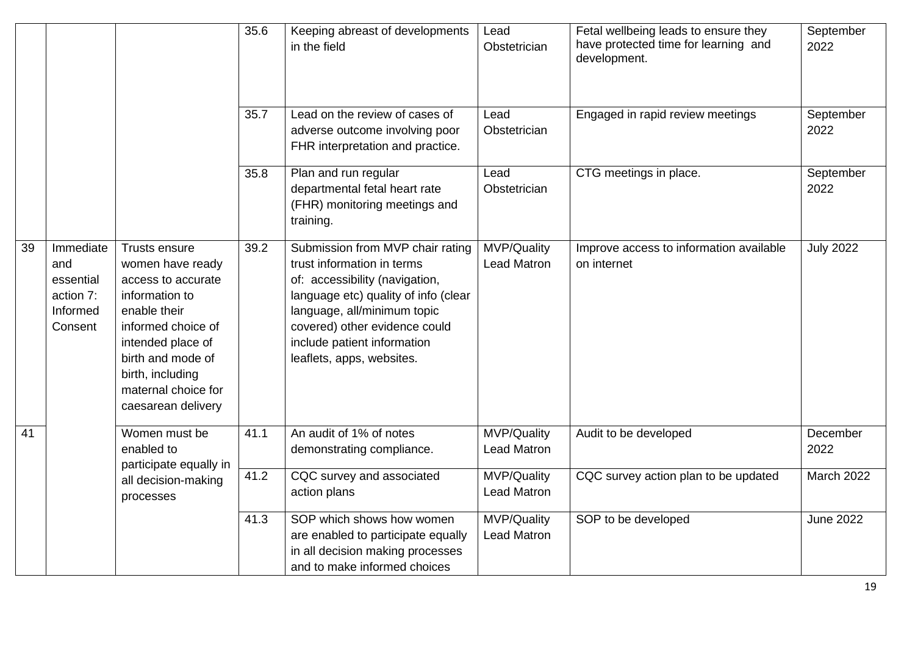|    |                                                                   |                                                                                                                                                                                                                            | 35.6 | Keeping abreast of developments<br>in the field                                                                                                                                                                                                                      | Lead<br>Obstetrician                     | Fetal wellbeing leads to ensure they<br>have protected time for learning and<br>development. | September<br>2022      |
|----|-------------------------------------------------------------------|----------------------------------------------------------------------------------------------------------------------------------------------------------------------------------------------------------------------------|------|----------------------------------------------------------------------------------------------------------------------------------------------------------------------------------------------------------------------------------------------------------------------|------------------------------------------|----------------------------------------------------------------------------------------------|------------------------|
|    |                                                                   |                                                                                                                                                                                                                            | 35.7 | Lead on the review of cases of<br>adverse outcome involving poor<br>FHR interpretation and practice.                                                                                                                                                                 | Lead<br>Obstetrician                     | Engaged in rapid review meetings                                                             | September<br>2022      |
|    |                                                                   |                                                                                                                                                                                                                            | 35.8 | Plan and run regular<br>departmental fetal heart rate<br>(FHR) monitoring meetings and<br>training.                                                                                                                                                                  | Lead<br>Obstetrician                     | CTG meetings in place.                                                                       | September<br>2022      |
| 39 | Immediate<br>and<br>essential<br>action 7:<br>Informed<br>Consent | Trusts ensure<br>women have ready<br>access to accurate<br>information to<br>enable their<br>informed choice of<br>intended place of<br>birth and mode of<br>birth, including<br>maternal choice for<br>caesarean delivery | 39.2 | Submission from MVP chair rating<br>trust information in terms<br>of: accessibility (navigation,<br>language etc) quality of info (clear<br>language, all/minimum topic<br>covered) other evidence could<br>include patient information<br>leaflets, apps, websites. | MVP/Quality<br><b>Lead Matron</b>        | Improve access to information available<br>on internet                                       | <b>July 2022</b>       |
| 41 |                                                                   | Women must be<br>enabled to<br>participate equally in                                                                                                                                                                      | 41.1 | An audit of 1% of notes<br>demonstrating compliance.                                                                                                                                                                                                                 | MVP/Quality<br><b>Lead Matron</b>        | Audit to be developed                                                                        | December<br>2022       |
|    |                                                                   | all decision-making<br>processes                                                                                                                                                                                           | 41.2 | CQC survey and associated<br>action plans                                                                                                                                                                                                                            | <b>MVP/Quality</b><br><b>Lead Matron</b> | CQC survey action plan to be updated                                                         | <b>March 2022</b>      |
|    |                                                                   |                                                                                                                                                                                                                            | 41.3 | SOP which shows how women<br>are enabled to participate equally<br>in all decision making processes<br>and to make informed choices                                                                                                                                  | MVP/Quality<br><b>Lead Matron</b>        | SOP to be developed                                                                          | June $20\overline{22}$ |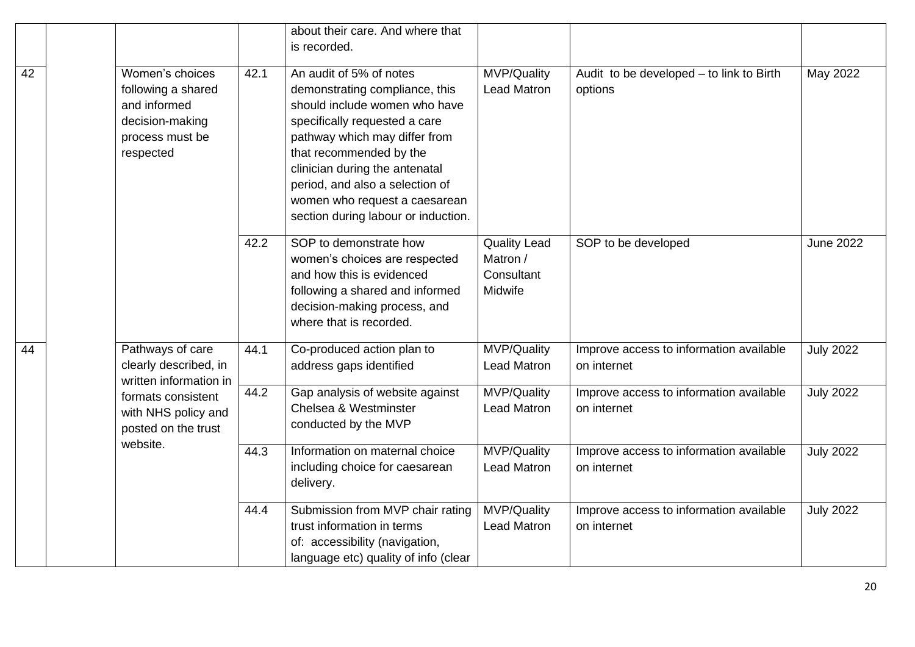|                 |                                                                                                          |      | about their care. And where that<br>is recorded.                                                                                                                                                                                                                                                                                     |                                                          |                                                        |                  |
|-----------------|----------------------------------------------------------------------------------------------------------|------|--------------------------------------------------------------------------------------------------------------------------------------------------------------------------------------------------------------------------------------------------------------------------------------------------------------------------------------|----------------------------------------------------------|--------------------------------------------------------|------------------|
| 42              | Women's choices<br>following a shared<br>and informed<br>decision-making<br>process must be<br>respected | 42.1 | An audit of 5% of notes<br>demonstrating compliance, this<br>should include women who have<br>specifically requested a care<br>pathway which may differ from<br>that recommended by the<br>clinician during the antenatal<br>period, and also a selection of<br>women who request a caesarean<br>section during labour or induction. | MVP/Quality<br><b>Lead Matron</b>                        | Audit to be developed - to link to Birth<br>options    | May 2022         |
|                 |                                                                                                          | 42.2 | SOP to demonstrate how<br>women's choices are respected<br>and how this is evidenced<br>following a shared and informed<br>decision-making process, and<br>where that is recorded.                                                                                                                                                   | <b>Quality Lead</b><br>Matron /<br>Consultant<br>Midwife | SOP to be developed                                    | <b>June 2022</b> |
| $\overline{44}$ | Pathways of care<br>clearly described, in<br>written information in                                      | 44.1 | Co-produced action plan to<br>address gaps identified                                                                                                                                                                                                                                                                                | MVP/Quality<br><b>Lead Matron</b>                        | Improve access to information available<br>on internet | <b>July 2022</b> |
|                 | formats consistent<br>with NHS policy and<br>posted on the trust                                         | 44.2 | Gap analysis of website against<br>Chelsea & Westminster<br>conducted by the MVP                                                                                                                                                                                                                                                     | MVP/Quality<br><b>Lead Matron</b>                        | Improve access to information available<br>on internet | <b>July 2022</b> |
|                 | website.                                                                                                 | 44.3 | Information on maternal choice<br>including choice for caesarean<br>delivery.                                                                                                                                                                                                                                                        | MVP/Quality<br><b>Lead Matron</b>                        | Improve access to information available<br>on internet | <b>July 2022</b> |
|                 |                                                                                                          | 44.4 | Submission from MVP chair rating<br>trust information in terms<br>of: accessibility (navigation,<br>language etc) quality of info (clear                                                                                                                                                                                             | MVP/Quality<br><b>Lead Matron</b>                        | Improve access to information available<br>on internet | <b>July 2022</b> |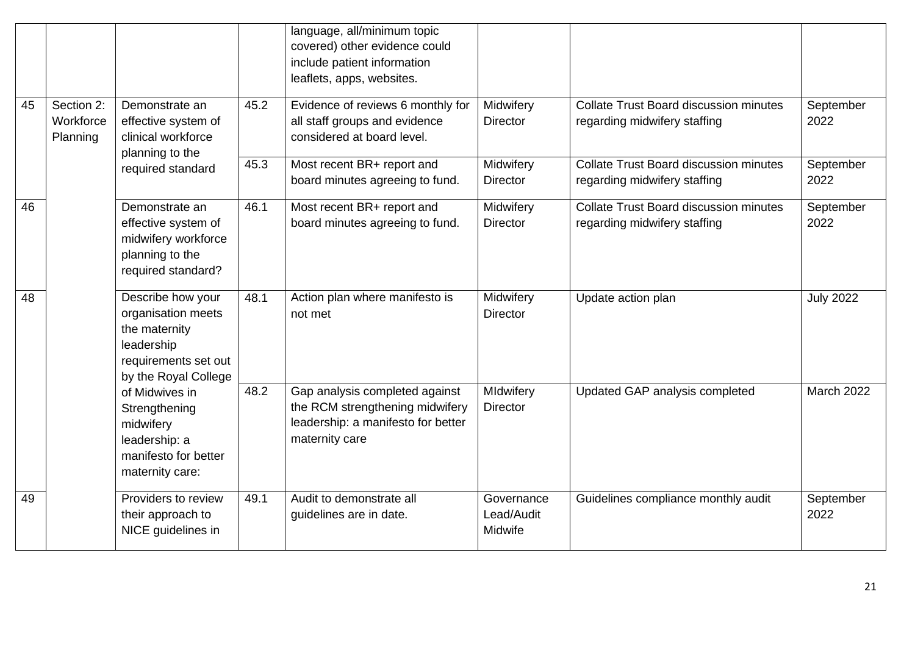|    |                                     |                                                                                                                        |      | language, all/minimum topic<br>covered) other evidence could                                                              |                                     |                                                                               |                   |
|----|-------------------------------------|------------------------------------------------------------------------------------------------------------------------|------|---------------------------------------------------------------------------------------------------------------------------|-------------------------------------|-------------------------------------------------------------------------------|-------------------|
|    |                                     |                                                                                                                        |      | include patient information                                                                                               |                                     |                                                                               |                   |
|    |                                     |                                                                                                                        |      | leaflets, apps, websites.                                                                                                 |                                     |                                                                               |                   |
| 45 | Section 2:<br>Workforce<br>Planning | Demonstrate an<br>effective system of<br>clinical workforce                                                            | 45.2 | Evidence of reviews 6 monthly for<br>all staff groups and evidence<br>considered at board level.                          | Midwifery<br><b>Director</b>        | <b>Collate Trust Board discussion minutes</b><br>regarding midwifery staffing | September<br>2022 |
|    |                                     | planning to the<br>required standard                                                                                   | 45.3 | Most recent BR+ report and<br>board minutes agreeing to fund.                                                             | Midwifery<br><b>Director</b>        | <b>Collate Trust Board discussion minutes</b><br>regarding midwifery staffing | September<br>2022 |
| 46 |                                     | Demonstrate an<br>effective system of<br>midwifery workforce<br>planning to the<br>required standard?                  | 46.1 | Most recent BR+ report and<br>board minutes agreeing to fund.                                                             | Midwifery<br><b>Director</b>        | Collate Trust Board discussion minutes<br>regarding midwifery staffing        | September<br>2022 |
| 48 |                                     | Describe how your<br>organisation meets<br>the maternity<br>leadership<br>requirements set out<br>by the Royal College | 48.1 | Action plan where manifesto is<br>not met                                                                                 | Midwifery<br><b>Director</b>        | Update action plan                                                            | <b>July 2022</b>  |
|    |                                     | of Midwives in<br>Strengthening<br>midwifery<br>leadership: a<br>manifesto for better<br>maternity care:               | 48.2 | Gap analysis completed against<br>the RCM strengthening midwifery<br>leadership: a manifesto for better<br>maternity care | MIdwifery<br><b>Director</b>        | Updated GAP analysis completed                                                | <b>March 2022</b> |
| 49 |                                     | Providers to review<br>their approach to<br>NICE guidelines in                                                         | 49.1 | Audit to demonstrate all<br>guidelines are in date.                                                                       | Governance<br>Lead/Audit<br>Midwife | Guidelines compliance monthly audit                                           | September<br>2022 |